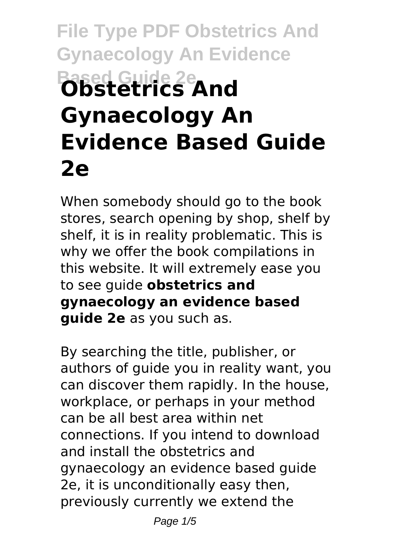# **File Type PDF Obstetrics And Gynaecology An Evidence Based Guide 2e Obstetrics And Gynaecology An Evidence Based Guide 2e**

When somebody should go to the book stores, search opening by shop, shelf by shelf, it is in reality problematic. This is why we offer the book compilations in this website. It will extremely ease you to see guide **obstetrics and gynaecology an evidence based guide 2e** as you such as.

By searching the title, publisher, or authors of guide you in reality want, you can discover them rapidly. In the house, workplace, or perhaps in your method can be all best area within net connections. If you intend to download and install the obstetrics and gynaecology an evidence based guide 2e, it is unconditionally easy then, previously currently we extend the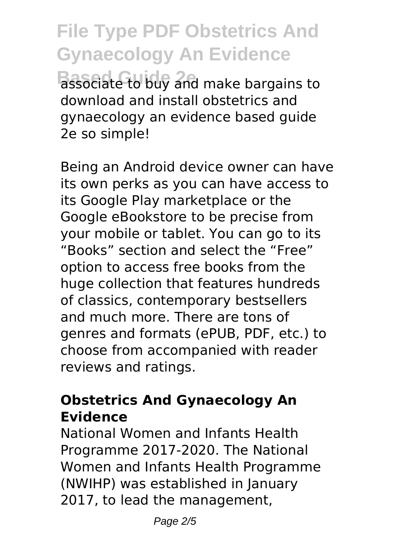**File Type PDF Obstetrics And Gynaecology An Evidence Based Guide 2e** associate to buy and make bargains to download and install obstetrics and gynaecology an evidence based guide 2e so simple!

Being an Android device owner can have its own perks as you can have access to its Google Play marketplace or the Google eBookstore to be precise from your mobile or tablet. You can go to its "Books" section and select the "Free" option to access free books from the huge collection that features hundreds of classics, contemporary bestsellers and much more. There are tons of genres and formats (ePUB, PDF, etc.) to choose from accompanied with reader reviews and ratings.

#### **Obstetrics And Gynaecology An Evidence**

National Women and Infants Health Programme 2017-2020. The National Women and Infants Health Programme (NWIHP) was established in January 2017, to lead the management,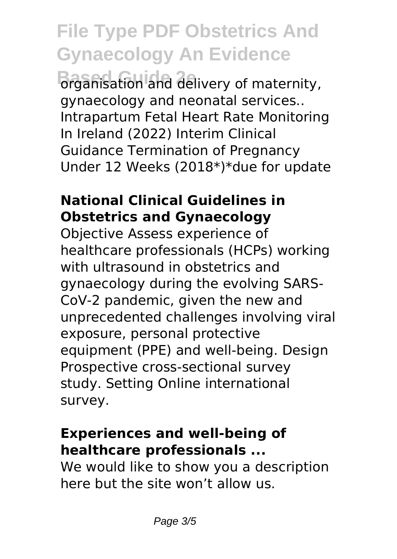### **File Type PDF Obstetrics And Gynaecology An Evidence**

**Based Guide 2e** organisation and delivery of maternity, gynaecology and neonatal services.. Intrapartum Fetal Heart Rate Monitoring In Ireland (2022) Interim Clinical Guidance Termination of Pregnancy Under 12 Weeks (2018\*)\*due for update

#### **National Clinical Guidelines in Obstetrics and Gynaecology**

Objective Assess experience of healthcare professionals (HCPs) working with ultrasound in obstetrics and gynaecology during the evolving SARS-CoV-2 pandemic, given the new and unprecedented challenges involving viral exposure, personal protective equipment (PPE) and well-being. Design Prospective cross-sectional survey study. Setting Online international survey.

#### **Experiences and well-being of healthcare professionals ...**

We would like to show you a description here but the site won't allow us.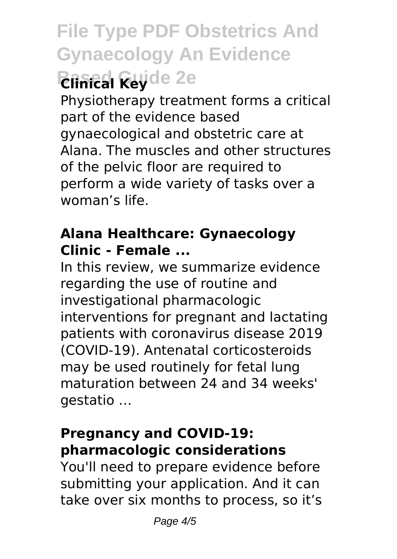## **File Type PDF Obstetrics And Gynaecology An Evidence Based Revide 2e**

Physiotherapy treatment forms a critical part of the evidence based gynaecological and obstetric care at Alana. The muscles and other structures of the pelvic floor are required to perform a wide variety of tasks over a woman's life.

#### **Alana Healthcare: Gynaecology Clinic - Female ...**

In this review, we summarize evidence regarding the use of routine and investigational pharmacologic interventions for pregnant and lactating patients with coronavirus disease 2019 (COVID-19). Antenatal corticosteroids may be used routinely for fetal lung maturation between 24 and 34 weeks' gestatio …

#### **Pregnancy and COVID-19: pharmacologic considerations**

You'll need to prepare evidence before submitting your application. And it can take over six months to process, so it's